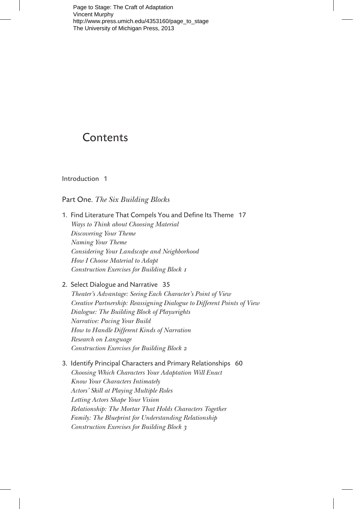Page to Stage: The Craft of Adaptation Vincent Murphy [http://www.press.umich.edu/4353160/page\\_to\\_stage](http://www.press.umich.edu/4353160/page_to_stage)  The University of Michigan Press, 2013

# **Contents**

Introduction 1

## Part One. *The Six Building Blocks*

- 1. Find Literature That Compels You and Define Its Theme 17 *Ways to Think about Choosing Material Discovering Your Theme Naming Your Theme Considering Your Landscape and Neighborhood How I Choose Material to Adapt Construction Exercises for Building Block 1*
- 2. Select Dialogue and Narrative 35 *Theater's Advantage: Seeing Each Character's Point of View Creative Partnership: Reassigning Dialogue to Different Points of View Dialogue: The Building Block of Playwrights Narrative: Pacing Your Build How to Handle Different Kinds of Narration Research on Language Construction Exercises for Building Block 2*
- 3. Identify Principal Characters and Primary Relationships 60 *Choosing Which Characters Your Adaptation Will Enact Know Your Characters Intimately Actors' Skill at Playing Multiple Roles Letting Actors Shape Your Vision Relationship: The Mortar That Holds Characters Together Family: The Blueprint for Understanding Relationship Construction Exercises for Building Block 3*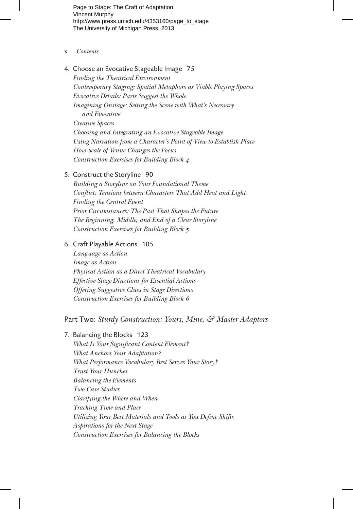Page to Stage: The Craft of Adaptation Vincent Murphy [http://www.press.umich.edu/4353160/page\\_to\\_stage](http://www.press.umich.edu/4353160/page_to_stage)  The University of Michigan Press, 2013

- x *Contents*
- 4. Choose an Evocative Stageable Image 75 *Finding the Theatrical Environment Contemporary Staging: Spatial Metaphors as Viable Playing Spaces Evocative Details: Parts Suggest the Whole Imagining Onstage: Setting the Scene with What's Necessary and Evocative Creative Spaces Choosing and Integrating an Evocative Stageable Image Using Narration from a Character's Point of View to Establish Place How Scale of Venue Changes the Focus Construction Exercises for Building Block 4*

## 5. Construct the Storyline 90

*Building a Storyline on Your Foundational Theme Conflict: Tensions between Characters That Add Heat and Light Finding the Central Event Prior Circumstances: The Past That Shapes the Future The Beginning, Middle, and End of a Clear Storyline Construction Exercises for Building Block 5*

## 6. Craft Playable Actions 105

*Language as Action Image as Action Physical Action as a Direct Theatrical Vocabulary Effective Stage Directions for Essential Actions Offering Suggestive Clues in Stage Directions Construction Exercises for Building Block 6*

## Part Two: *Sturdy Construction: Yours, Mine, & Master Adaptors*

#### 7. Balancing the Blocks 123

*What Is Your Significant Content Element? What Anchors Your Adaptation? What Performance Vocabulary Best Serves Your Story? Trust Your Hunches Balancing the Elements Two Case Studies Clarifying the Where and When Tracking Time and Place Utilizing Your Best Materials and Tools as You Define Shifts Aspirations for the Next Stage Construction Exercises for Balancing the Blocks*